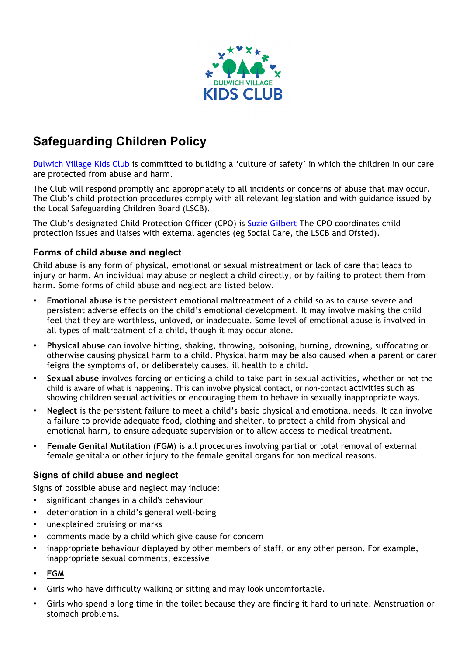

# **Safeguarding Children Policy**

Dulwich Village Kids Club is committed to building a 'culture of safety' in which the children in our care are protected from abuse and harm.

The Club will respond promptly and appropriately to all incidents or concerns of abuse that may occur. The Club's child protection procedures comply with all relevant legislation and with guidance issued by the Local Safeguarding Children Board (LSCB).

The Club's designated Child Protection Officer (CPO) is Suzie Gilbert The CPO coordinates child protection issues and liaises with external agencies (eg Social Care, the LSCB and Ofsted).

#### **Forms of child abuse and neglect**

Child abuse is any form of physical, emotional or sexual mistreatment or lack of care that leads to injury or harm. An individual may abuse or neglect a child directly, or by failing to protect them from harm. Some forms of child abuse and neglect are listed below.

- **Emotional abuse** is the persistent emotional maltreatment of a child so as to cause severe and persistent adverse effects on the child's emotional development. It may involve making the child feel that they are worthless, unloved, or inadequate. Some level of emotional abuse is involved in all types of maltreatment of a child, though it may occur alone.
- **Physical abuse** can involve hitting, shaking, throwing, poisoning, burning, drowning, suffocating or otherwise causing physical harm to a child. Physical harm may be also caused when a parent or carer feigns the symptoms of, or deliberately causes, ill health to a child.
- **Sexual abuse** involves forcing or enticing a child to take part in sexual activities, whether or not the child is aware of what is happening. This can involve physical contact, or non-contact activities such as showing children sexual activities or encouraging them to behave in sexually inappropriate ways.
- **Neglect** is the persistent failure to meet a child's basic physical and emotional needs. It can involve a failure to provide adequate food, clothing and shelter, to protect a child from physical and emotional harm, to ensure adequate supervision or to allow access to medical treatment.
- **Female Genital Mutilation (FGM**) is all procedures involving partial or total removal of external female genitalia or other injury to the female genital organs for non medical reasons.

# **Signs of child abuse and neglect**

Signs of possible abuse and neglect may include:

- significant changes in a child's behaviour
- deterioration in a child's general well-being
- unexplained bruising or marks
- comments made by a child which give cause for concern
- inappropriate behaviour displayed by other members of staff, or any other person. For example, inappropriate sexual comments, excessive
- **FGM**
- Girls who have difficulty walking or sitting and may look uncomfortable.
- Girls who spend a long time in the toilet because they are finding it hard to urinate. Menstruation or stomach problems.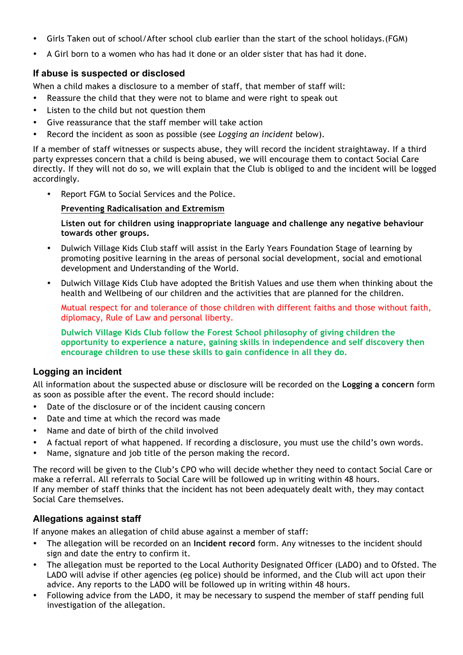- Girls Taken out of school/After school club earlier than the start of the school holidays.(FGM)
- A Girl born to a women who has had it done or an older sister that has had it done.

### **If abuse is suspected or disclosed**

When a child makes a disclosure to a member of staff, that member of staff will:

- Reassure the child that they were not to blame and were right to speak out
- Listen to the child but not question them
- Give reassurance that the staff member will take action
- Record the incident as soon as possible (see *Logging an incident* below).

If a member of staff witnesses or suspects abuse, they will record the incident straightaway. If a third party expresses concern that a child is being abused, we will encourage them to contact Social Care directly. If they will not do so, we will explain that the Club is obliged to and the incident will be logged accordingly.

• Report FGM to Social Services and the Police.

#### **Preventing Radicalisation and Extremism**

**Listen out for children using inappropriate language and challenge any negative behaviour towards other groups.**

- Dulwich Village Kids Club staff will assist in the Early Years Foundation Stage of learning by promoting positive learning in the areas of personal social development, social and emotional development and Understanding of the World.
- Dulwich Village Kids Club have adopted the British Values and use them when thinking about the health and Wellbeing of our children and the activities that are planned for the children.

Mutual respect for and tolerance of those children with different faiths and those without faith, diplomacy, Rule of Law and personal liberty.

**Dulwich Village Kids Club follow the Forest School philosophy of giving children the opportunity to experience a nature, gaining skills in independence and self discovery then encourage children to use these skills to gain confidence in all they do.**

# **Logging an incident**

All information about the suspected abuse or disclosure will be recorded on the **Logging a concern** form as soon as possible after the event. The record should include:

- Date of the disclosure or of the incident causing concern
- Date and time at which the record was made
- Name and date of birth of the child involved
- A factual report of what happened. If recording a disclosure, you must use the child's own words.
- Name, signature and job title of the person making the record.

The record will be given to the Club's CPO who will decide whether they need to contact Social Care or make a referral. All referrals to Social Care will be followed up in writing within 48 hours. If any member of staff thinks that the incident has not been adequately dealt with, they may contact Social Care themselves.

# **Allegations against staff**

If anyone makes an allegation of child abuse against a member of staff:

- The allegation will be recorded on an **Incident record** form. Any witnesses to the incident should sign and date the entry to confirm it.
- The allegation must be reported to the Local Authority Designated Officer (LADO) and to Ofsted. The LADO will advise if other agencies (eg police) should be informed, and the Club will act upon their advice. Any reports to the LADO will be followed up in writing within 48 hours.
- Following advice from the LADO, it may be necessary to suspend the member of staff pending full investigation of the allegation.